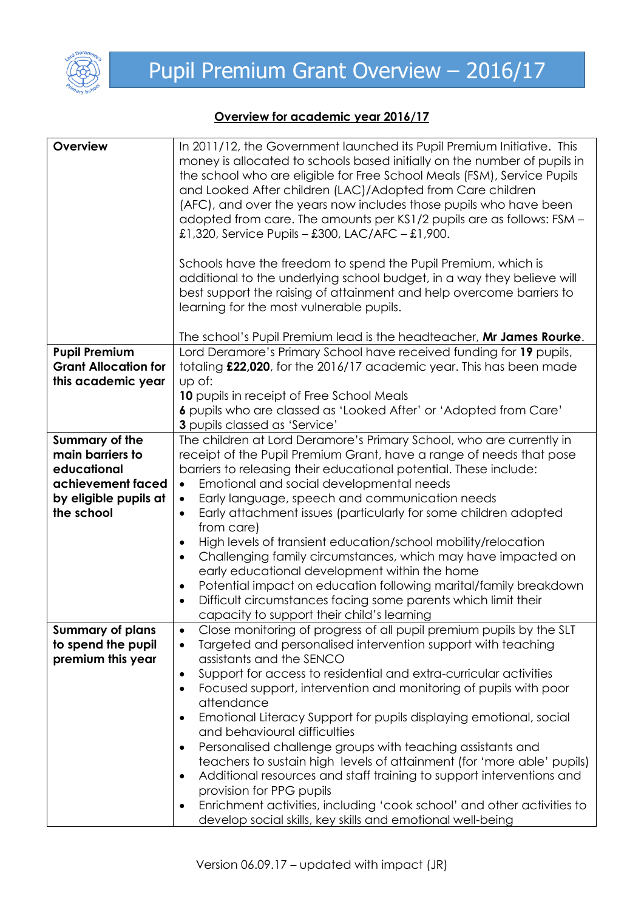

## **Overview for academic year 2016/17**

| Overview                    | In 2011/12, the Government launched its Pupil Premium Initiative. This<br>money is allocated to schools based initially on the number of pupils in<br>the school who are eligible for Free School Meals (FSM), Service Pupils<br>and Looked After children (LAC)/Adopted from Care children<br>(AFC), and over the years now includes those pupils who have been<br>adopted from care. The amounts per KS1/2 pupils are as follows: FSM -<br>£1,320, Service Pupils – £300, LAC/AFC – £1,900.<br>Schools have the freedom to spend the Pupil Premium, which is |
|-----------------------------|----------------------------------------------------------------------------------------------------------------------------------------------------------------------------------------------------------------------------------------------------------------------------------------------------------------------------------------------------------------------------------------------------------------------------------------------------------------------------------------------------------------------------------------------------------------|
|                             | additional to the underlying school budget, in a way they believe will<br>best support the raising of attainment and help overcome barriers to<br>learning for the most vulnerable pupils.                                                                                                                                                                                                                                                                                                                                                                     |
|                             | The school's Pupil Premium lead is the headteacher, Mr James Rourke.                                                                                                                                                                                                                                                                                                                                                                                                                                                                                           |
| <b>Pupil Premium</b>        | Lord Deramore's Primary School have received funding for 19 pupils,                                                                                                                                                                                                                                                                                                                                                                                                                                                                                            |
| <b>Grant Allocation for</b> | totaling £22,020, for the 2016/17 academic year. This has been made                                                                                                                                                                                                                                                                                                                                                                                                                                                                                            |
| this academic year          | up of:<br>10 pupils in receipt of Free School Meals                                                                                                                                                                                                                                                                                                                                                                                                                                                                                                            |
|                             | 6 pupils who are classed as 'Looked After' or 'Adopted from Care'                                                                                                                                                                                                                                                                                                                                                                                                                                                                                              |
|                             | 3 pupils classed as 'Service'                                                                                                                                                                                                                                                                                                                                                                                                                                                                                                                                  |
| Summary of the              | The children at Lord Deramore's Primary School, who are currently in                                                                                                                                                                                                                                                                                                                                                                                                                                                                                           |
| main barriers to            | receipt of the Pupil Premium Grant, have a range of needs that pose                                                                                                                                                                                                                                                                                                                                                                                                                                                                                            |
| educational                 | barriers to releasing their educational potential. These include:                                                                                                                                                                                                                                                                                                                                                                                                                                                                                              |
| achievement faced           | Emotional and social developmental needs<br>$\bullet$                                                                                                                                                                                                                                                                                                                                                                                                                                                                                                          |
| by eligible pupils at       | Early language, speech and communication needs<br>$\bullet$                                                                                                                                                                                                                                                                                                                                                                                                                                                                                                    |
| the school                  | Early attachment issues (particularly for some children adopted<br>$\bullet$                                                                                                                                                                                                                                                                                                                                                                                                                                                                                   |
|                             | from care)                                                                                                                                                                                                                                                                                                                                                                                                                                                                                                                                                     |
|                             | High levels of transient education/school mobility/relocation<br>$\bullet$                                                                                                                                                                                                                                                                                                                                                                                                                                                                                     |
|                             | Challenging family circumstances, which may have impacted on<br>$\bullet$                                                                                                                                                                                                                                                                                                                                                                                                                                                                                      |
|                             | early educational development within the home                                                                                                                                                                                                                                                                                                                                                                                                                                                                                                                  |
|                             | Potential impact on education following marital/family breakdown<br>$\bullet$                                                                                                                                                                                                                                                                                                                                                                                                                                                                                  |
|                             | Difficult circumstances facing some parents which limit their<br>$\bullet$                                                                                                                                                                                                                                                                                                                                                                                                                                                                                     |
|                             | capacity to support their child's learning                                                                                                                                                                                                                                                                                                                                                                                                                                                                                                                     |
| <b>Summary of plans</b>     | Close monitoring of progress of all pupil premium pupils by the SLT<br>$\bullet$                                                                                                                                                                                                                                                                                                                                                                                                                                                                               |
| to spend the pupil          | Targeted and personalised intervention support with teaching<br>$\bullet$                                                                                                                                                                                                                                                                                                                                                                                                                                                                                      |
| premium this year           | assistants and the SENCO                                                                                                                                                                                                                                                                                                                                                                                                                                                                                                                                       |
|                             | Support for access to residential and extra-curricular activities<br>$\bullet$                                                                                                                                                                                                                                                                                                                                                                                                                                                                                 |
|                             | Focused support, intervention and monitoring of pupils with poor<br>$\bullet$                                                                                                                                                                                                                                                                                                                                                                                                                                                                                  |
|                             | attendance                                                                                                                                                                                                                                                                                                                                                                                                                                                                                                                                                     |
|                             | Emotional Literacy Support for pupils displaying emotional, social<br>$\bullet$<br>and behavioural difficulties                                                                                                                                                                                                                                                                                                                                                                                                                                                |
|                             | Personalised challenge groups with teaching assistants and<br>$\bullet$                                                                                                                                                                                                                                                                                                                                                                                                                                                                                        |
|                             | teachers to sustain high levels of attainment (for 'more able' pupils)                                                                                                                                                                                                                                                                                                                                                                                                                                                                                         |
|                             | Additional resources and staff training to support interventions and<br>$\bullet$                                                                                                                                                                                                                                                                                                                                                                                                                                                                              |
|                             | provision for PPG pupils                                                                                                                                                                                                                                                                                                                                                                                                                                                                                                                                       |
|                             | Enrichment activities, including 'cook school' and other activities to<br>٠                                                                                                                                                                                                                                                                                                                                                                                                                                                                                    |
|                             | develop social skills, key skills and emotional well-being                                                                                                                                                                                                                                                                                                                                                                                                                                                                                                     |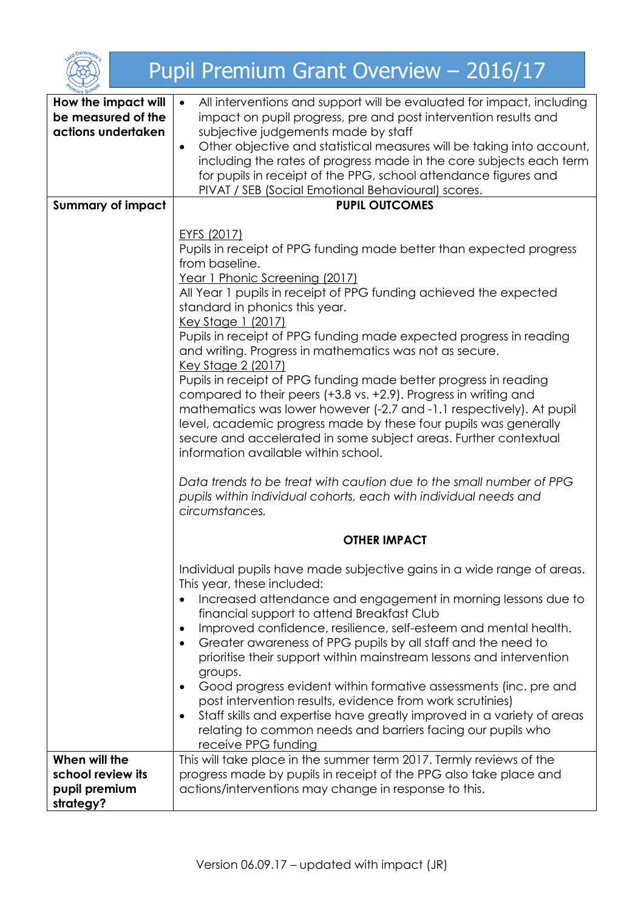

## Pupil Premium Grant Overview – 2016/17

| mary Scho                                                        |                                                                                                                                                                                                                                                                                                                                                                                                                                                                                                                                                                                                                                                                                                                                                                                                                                                                                                                                                                                                       |  |  |
|------------------------------------------------------------------|-------------------------------------------------------------------------------------------------------------------------------------------------------------------------------------------------------------------------------------------------------------------------------------------------------------------------------------------------------------------------------------------------------------------------------------------------------------------------------------------------------------------------------------------------------------------------------------------------------------------------------------------------------------------------------------------------------------------------------------------------------------------------------------------------------------------------------------------------------------------------------------------------------------------------------------------------------------------------------------------------------|--|--|
| How the impact will<br>be measured of the<br>actions undertaken  | All interventions and support will be evaluated for impact, including<br>$\bullet$<br>impact on pupil progress, pre and post intervention results and<br>subjective judgements made by staff<br>Other objective and statistical measures will be taking into account,<br>$\bullet$<br>including the rates of progress made in the core subjects each term<br>for pupils in receipt of the PPG, school attendance figures and<br>PIVAT / SEB (Social Emotional Behavioural) scores.                                                                                                                                                                                                                                                                                                                                                                                                                                                                                                                    |  |  |
| <b>Summary of impact</b>                                         | <b>PUPIL OUTCOMES</b>                                                                                                                                                                                                                                                                                                                                                                                                                                                                                                                                                                                                                                                                                                                                                                                                                                                                                                                                                                                 |  |  |
|                                                                  | EYFS (2017)<br>Pupils in receipt of PPG funding made better than expected progress<br>from baseline.<br>Year 1 Phonic Screening (2017)<br>All Year 1 pupils in receipt of PPG funding achieved the expected<br>standard in phonics this year.<br><u>Key Stage 1 (2017)</u><br>Pupils in receipt of PPG funding made expected progress in reading<br>and writing. Progress in mathematics was not as secure.<br><u>Key Stage 2 (2017)</u><br>Pupils in receipt of PPG funding made better progress in reading<br>compared to their peers (+3.8 vs. +2.9). Progress in writing and<br>mathematics was lower however (-2.7 and -1.1 respectively). At pupil<br>level, academic progress made by these four pupils was generally<br>secure and accelerated in some subject areas. Further contextual<br>information available within school.<br>Data trends to be treat with caution due to the small number of PPG<br>pupils within individual cohorts, each with individual needs and<br>circumstances. |  |  |
|                                                                  | <b>OTHER IMPACT</b>                                                                                                                                                                                                                                                                                                                                                                                                                                                                                                                                                                                                                                                                                                                                                                                                                                                                                                                                                                                   |  |  |
|                                                                  | Individual pupils have made subjective gains in a wide range of areas.<br>This year, these included:<br>Increased attendance and engagement in morning lessons due to<br>financial support to attend Breakfast Club<br>Improved confidence, resilience, self-esteem and mental health.<br>$\bullet$<br>Greater awareness of PPG pupils by all staff and the need to<br>$\bullet$<br>prioritise their support within mainstream lessons and intervention<br>groups.<br>Good progress evident within formative assessments (inc. pre and<br>$\bullet$<br>post intervention results, evidence from work scrutinies)<br>Staff skills and expertise have greatly improved in a variety of areas<br>$\bullet$<br>relating to common needs and barriers facing our pupils who<br>receive PPG funding                                                                                                                                                                                                         |  |  |
| When will the<br>school review its<br>pupil premium<br>strategy? | This will take place in the summer term 2017. Termly reviews of the<br>progress made by pupils in receipt of the PPG also take place and<br>actions/interventions may change in response to this.                                                                                                                                                                                                                                                                                                                                                                                                                                                                                                                                                                                                                                                                                                                                                                                                     |  |  |